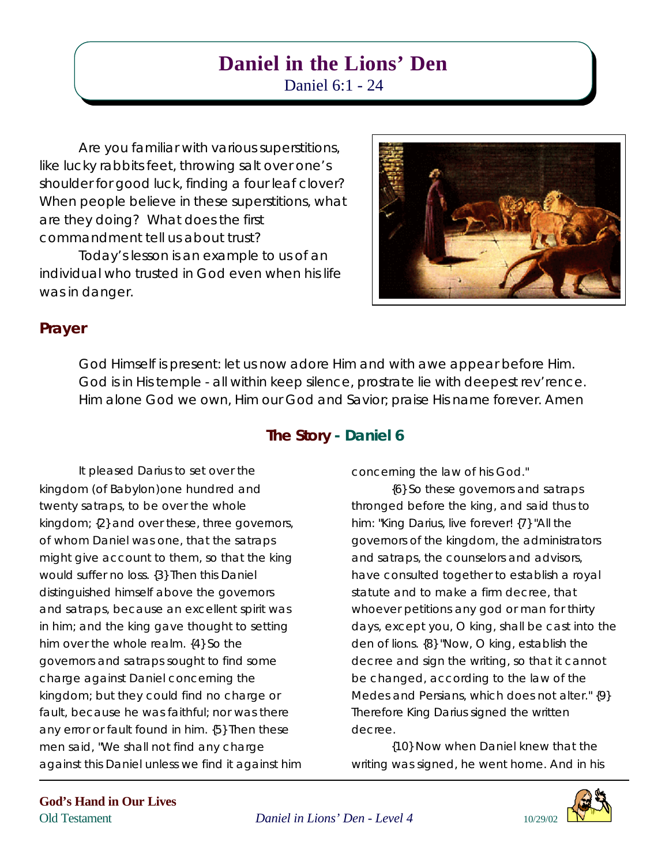# **Daniel in the Lions' Den**

Daniel 6:1 - 24

Are you familiar with various superstitions, like lucky rabbits feet, throwing salt over one's shoulder for good luck, finding a four leaf clover? When people believe in these superstitions, what are they doing? What does the first commandment tell us about trust?

Today's lesson is an example to us of an individual who trusted in God even when his life was in danger.

It pleased Darius to set over the

kingdom; {2} and over these, three governors, of whom Daniel was one, that the satraps might give account to them, so that the king

kingdom (*of Babylon*)one hundred and twenty satraps, to be over the whole

would suffer no loss. {3} Then this Daniel distinguished himself above the governors and satraps, because an excellent spirit was in him; and the king gave thought to setting

him over the whole realm. {4} So the

governors and satraps sought to find some charge against Daniel concerning the kingdom; but they could find no charge or fault, because he was faithful; nor was there any error or fault found in him. {5} Then these

men said, "We shall not find any charge

against this Daniel unless we find it against him



# **Prayer**

God Himself is present: let us now adore Him and with awe appear before Him. God is in His temple - all within keep silence, prostrate lie with deepest rev'rence. Him alone God we own, Him our God and Savior; praise His name forever. Amen

# **The Story - Daniel 6**

concerning the law of his God."

{6} So these governors and satraps thronged before the king, and said thus to him: "King Darius, live forever! {7} "All the governors of the kingdom, the administrators and satraps, the counselors and advisors, have consulted together to establish a royal statute and to make a firm decree, that whoever petitions any god or man for thirty days, except you, O king, shall be cast into the den of lions. {8} "Now, O king, establish the decree and sign the writing, so that it cannot be changed, according to the law of the Medes and Persians, which does not alter." {9} Therefore King Darius signed the written decree.

{10} Now when Daniel knew that the writing was signed, he went home. And in his



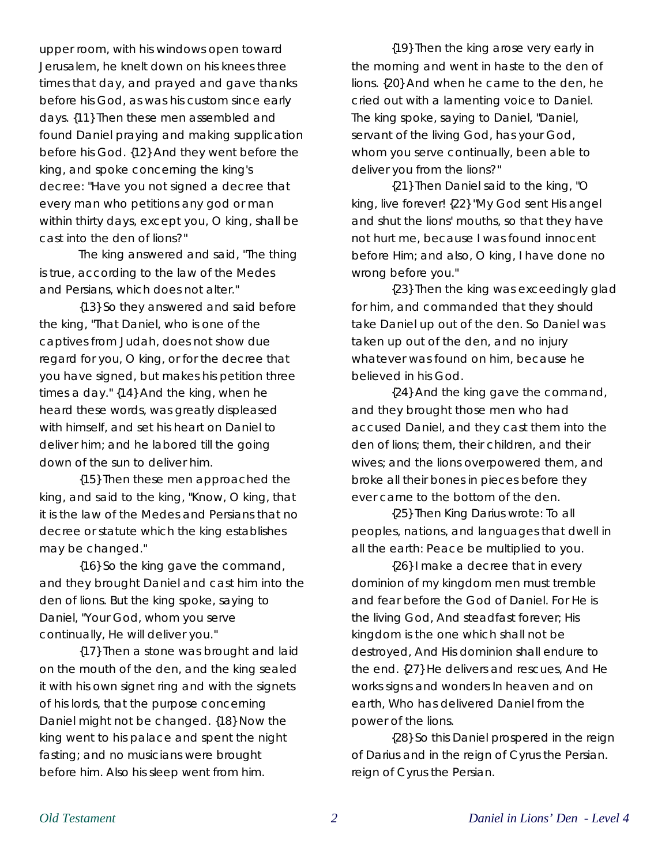upper room, with his windows open toward Jerusalem, he knelt down on his knees three times that day, and prayed and gave thanks before his God, as was his custom since early days. {11} Then these men assembled and found Daniel praying and making supplication before his God. {12} And they went before the king, and spoke concerning the king's decree: "Have you not signed a decree that every man who petitions any god or man within thirty days, except you, O king, shall be cast into the den of lions?"

The king answered and said, "The thing is true, according to the law of the Medes and Persians, which does not alter."

{13} So they answered and said before the king, "That Daniel, who is one of the captives from Judah, does not show due regard for you, O king, or for the decree that you have signed, but makes his petition three times a day." {14} And the king, when he heard these words, was greatly displeased with himself, and set his heart on Daniel to deliver him; and he labored till the going down of the sun to deliver him.

{15} Then these men approached the king, and said to the king, "Know, O king, that it is the law of the Medes and Persians that no decree or statute which the king establishes may be changed."

{16} So the king gave the command, and they brought Daniel and cast him into the den of lions. But the king spoke, saying to Daniel, "Your God, whom you serve continually, He will deliver you."

{17} Then a stone was brought and laid on the mouth of the den, and the king sealed it with his own signet ring and with the signets of his lords, that the purpose concerning Daniel might not be changed. {18} Now the king went to his palace and spent the night fasting; and no musicians were brought before him. Also his sleep went from him.

{19} Then the king arose very early in the morning and went in haste to the den of lions. {20} And when he came to the den, he cried out with a lamenting voice to Daniel. The king spoke, saying to Daniel, "Daniel, servant of the living God, has your God, whom you serve continually, been able to deliver you from the lions?"

{21} Then Daniel said to the king, "O king, live forever! {22} "My God sent His angel and shut the lions' mouths, so that they have not hurt me, because I was found innocent before Him; and also, O king, I have done no wrong before you."

{23} Then the king was exceedingly glad for him, and commanded that they should take Daniel up out of the den. So Daniel was taken up out of the den, and no injury whatever was found on him, because he believed in his God.

{24} And the king gave the command, and they brought those men who had accused Daniel, and they cast them into the den of lions; them, their children, and their wives; and the lions overpowered them, and broke all their bones in pieces before they ever came to the bottom of the den.

{25} Then King Darius wrote: To all peoples, nations, and languages that dwell in all the earth: Peace be multiplied to you.

{26} I make a decree that in every dominion of my kingdom men must tremble and fear before the God of Daniel. For He is the living God, And steadfast forever; His kingdom is the one which shall not be destroyed, And His dominion shall endure to the end. {27} He delivers and rescues, And He works signs and wonders In heaven and on earth, Who has delivered Daniel from the power of the lions.

{28} So this Daniel prospered in the reign of Darius and in the reign of Cyrus the Persian. reign of Cyrus the Persian.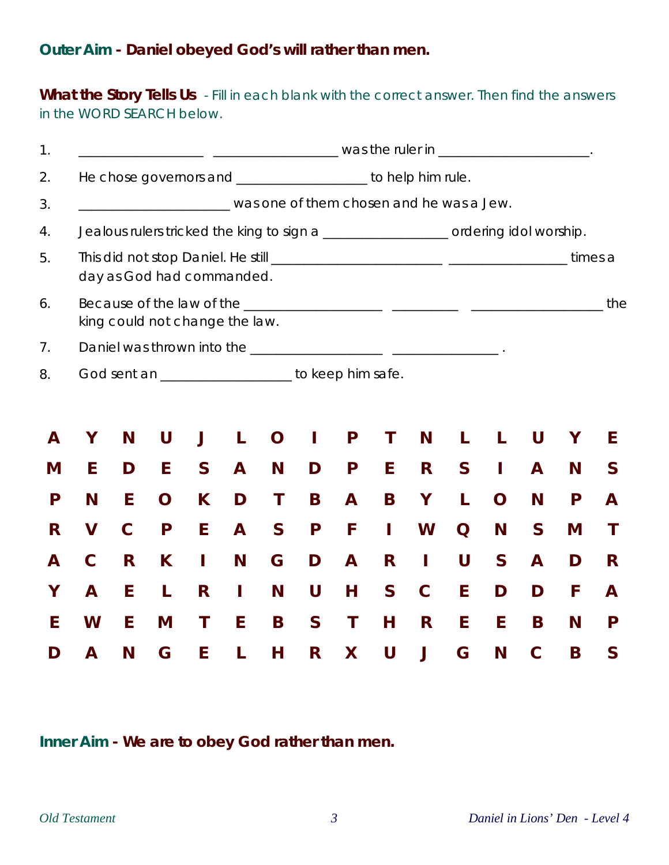# **Outer Aim - Daniel obeyed God's will rather than men.**

What the Story Tells Us - Fill in each blank with the correct answer. Then find the answers in the WORD SEARCH below.

| $\mathbf 1$ . |                                                                                    | <u>____________________________________</u> was the ruler in ___________________________ |   |              |              |              |              |              |              |             |                                          |              |              |   |              |  |
|---------------|------------------------------------------------------------------------------------|------------------------------------------------------------------------------------------|---|--------------|--------------|--------------|--------------|--------------|--------------|-------------|------------------------------------------|--------------|--------------|---|--------------|--|
| 2.            | He chose governors and _____________________ to help him rule.                     |                                                                                          |   |              |              |              |              |              |              |             |                                          |              |              |   |              |  |
| 3.            |                                                                                    |                                                                                          |   |              |              |              |              |              |              |             | was one of them chosen and he was a Jew. |              |              |   |              |  |
| 4.            | Jealous rulers tricked the king to sign a _________________ ordering idol worship. |                                                                                          |   |              |              |              |              |              |              |             |                                          |              |              |   |              |  |
| 5.            | day as God had commanded.                                                          |                                                                                          |   |              |              |              |              |              |              |             |                                          |              |              |   |              |  |
| 6.            | king could not change the law.                                                     |                                                                                          |   |              |              |              |              |              |              |             |                                          |              |              |   |              |  |
| 7.            |                                                                                    |                                                                                          |   |              |              |              |              |              |              |             |                                          |              |              |   |              |  |
| 8.            | God sent an _____________________ to keep him safe.                                |                                                                                          |   |              |              |              |              |              |              |             |                                          |              |              |   |              |  |
|               |                                                                                    |                                                                                          |   |              |              |              |              |              |              |             |                                          |              |              |   |              |  |
| A             | Υ                                                                                  | N                                                                                        | U | J            | L            | O            |              | P            | Τ            | N           | L                                        | L            | U            | Υ | E            |  |
| M             | E                                                                                  | D                                                                                        | E | $\mathsf{S}$ | $\mathbf{A}$ | N            | D            | P            | E            | R           | $\mathsf{S}$                             | Т            | A            | N | $\mathsf{S}$ |  |
| P             | N                                                                                  | E                                                                                        | O | K            | D            | T            | B            | A            | B            | Υ           | L                                        | O            | N            | P | A            |  |
| R             | $\mathsf{V}$                                                                       | $\mathbf C$                                                                              | P | E            | A            | $\mathsf{S}$ | P            | F            | I            | W           | Q                                        | N            | $\mathsf{S}$ | M | T            |  |
| A             | $\mathbf C$                                                                        | R                                                                                        | K | L            | N            | G            | D            | $\mathbf{A}$ | R            | Т           | U                                        | $\mathsf{S}$ | $\mathbf{A}$ | D | R            |  |
| Υ             | A                                                                                  | E                                                                                        | L | R            | $\mathbf{I}$ | N            | U            | н            | $\mathsf{S}$ | $\mathbf C$ | E                                        | D            | D            | F | A            |  |
| E             | W                                                                                  | E                                                                                        | M | T            | E            | B            | $\mathsf{S}$ | T            | н            | R           | E                                        | E            | B            | N | P            |  |
| נ ו           | A                                                                                  | N                                                                                        | G | E            | L            | Н            | R            | X            | U            | J           | G                                        | N            | C            | B | S            |  |

**Inner Aim - We are to obey God rather than men.**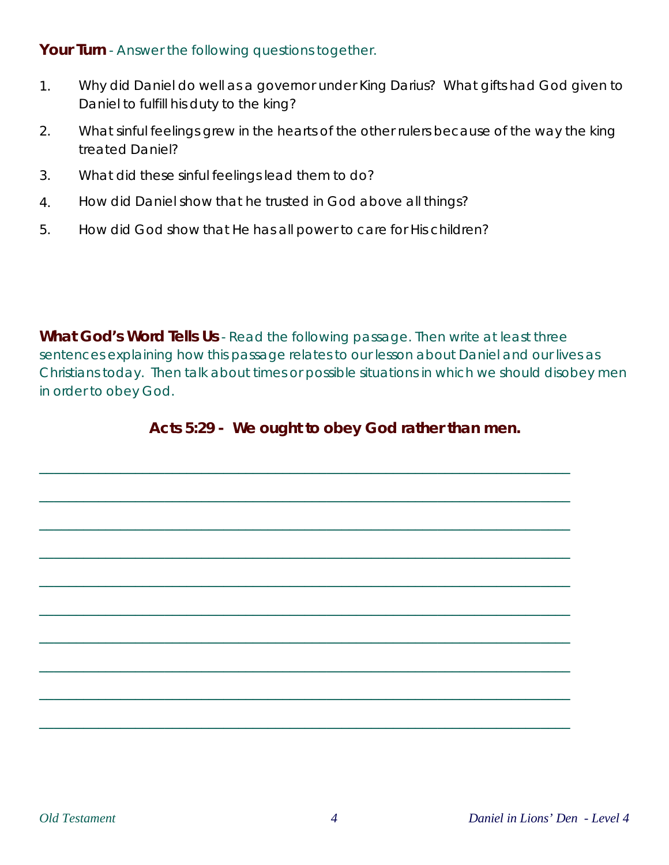Your Turn - Answer the following questions together.

- 1. Why did Daniel do well as a governor under King Darius? What gifts had God given to Daniel to fulfill his duty to the king?
- 2. What sinful feelings grew in the hearts of the other rulers because of the way the king treated Daniel?
- 3. What did these sinful feelings lead them to do?
- 4. How did Daniel show that he trusted in God above all things?
- 5. How did God show that He has all power to care for His children?

**What God's Word Tells Us** - Read the following passage. Then write at least three sentences explaining how this passage relates to our lesson about Daniel and our lives as Christians today. Then talk about times or possible situations in which we should disobey men in order to obey God.

## **Acts 5:29 - We ought to obey God rather than men.**